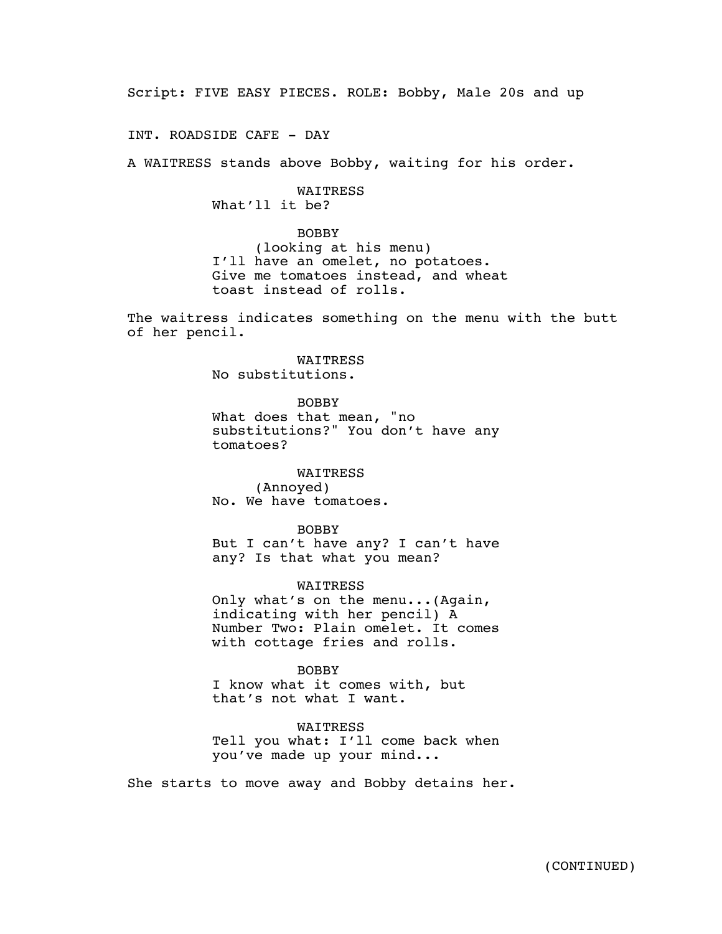Script: FIVE EASY PIECES. ROLE: Bobby, Male 20s and up

INT. ROADSIDE CAFE - DAY

A WAITRESS stands above Bobby, waiting for his order.

**WATTRESS** What'll it be?

BOBBY (looking at his menu) I'll have an omelet, no potatoes. Give me tomatoes instead, and wheat toast instead of rolls.

The waitress indicates something on the menu with the butt of her pencil.

> WAITRESS No substitutions.

BOBBY What does that mean, "no substitutions?" You don't have any tomatoes?

WAITRESS (Annoyed) No. We have tomatoes.

BOBBY But I can't have any? I can't have any? Is that what you mean?

WAITRESS Only what's on the menu...(Again, indicating with her pencil) A Number Two: Plain omelet. It comes with cottage fries and rolls.

BOBBY I know what it comes with, but that's not what I want.

WAITRESS Tell you what: I'll come back when you've made up your mind...

She starts to move away and Bobby detains her.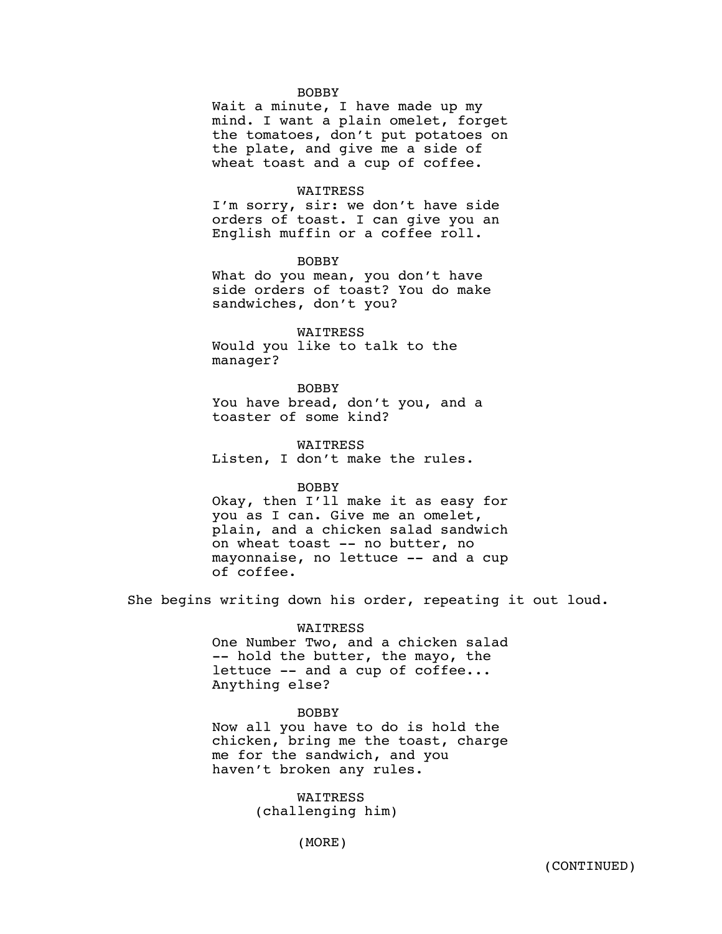#### BOBBY

Wait a minute, I have made up my mind. I want a plain omelet, forget the tomatoes, don't put potatoes on the plate, and give me a side of wheat toast and a cup of coffee.

#### WAITRESS

I'm sorry, sir: we don't have side orders of toast. I can give you an English muffin or a coffee roll.

BOBBY

What do you mean, you don't have side orders of toast? You do make sandwiches, don't you?

WAITRESS Would you like to talk to the manager?

BOBBY

You have bread, don't you, and a toaster of some kind?

WAITRESS Listen, I don't make the rules.

BOBBY

Okay, then I'll make it as easy for you as I can. Give me an omelet, plain, and a chicken salad sandwich on wheat toast -- no butter, no mayonnaise, no lettuce -- and a cup of coffee.

She begins writing down his order, repeating it out loud.

#### WAITRESS

One Number Two, and a chicken salad -- hold the butter, the mayo, the lettuce -- and a cup of coffee... Anything else?

### BOBBY

Now all you have to do is hold the chicken, bring me the toast, charge me for the sandwich, and you haven't broken any rules.

> WAITRESS (challenging him)

> > (MORE)